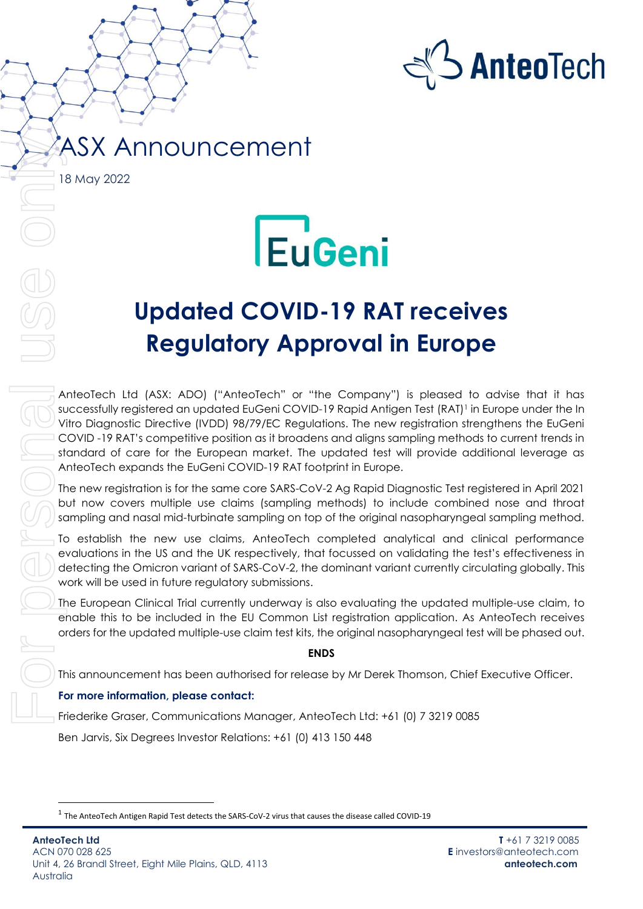

# ASX Announcement

18 May 2022

# **Updated COVID-19 RAT receives Regulatory Approval in Europe**

AnteoTech Ltd (ASX: ADO) ("AnteoTech" or "the Company") is pleased to advise that it has successfully registered an updated EuGeni COVID-19 Rapid Antigen Test (RAT)<sup>1</sup> in Europe under the In Vitro Diagnostic Directive (IVDD) 98/79/EC Regulations. The new registration strengthens the EuGeni COVID -19 RAT's competitive position as it broadens and aligns sampling methods to current trends in standard of care for the European market. The updated test will provide additional leverage as AnteoTech expands the EuGeni COVID-19 RAT footprint in Europe.

The new registration is for the same core SARS-CoV-2 Ag Rapid Diagnostic Test registered in April 2021 but now covers multiple use claims (sampling methods) to include combined nose and throat sampling and nasal mid-turbinate sampling on top of the original nasopharyngeal sampling method.

To establish the new use claims, AnteoTech completed analytical and clinical performance evaluations in the US and the UK respectively, that focussed on validating the test's effectiveness in detecting the Omicron variant of SARS-CoV-2, the dominant variant currently circulating globally. This work will be used in future regulatory submissions.

The European Clinical Trial currently underway is also evaluating the updated multiple-use claim, to enable this to be included in the EU Common List registration application. As AnteoTech receives orders for the updated multiple-use claim test kits, the original nasopharyngeal test will be phased out.

## **ENDS**

This announcement has been authorised for release by Mr Derek Thomson, Chief Executive Officer.

## **For more information, please contact:**

Friederike Graser, Communications Manager, AnteoTech Ltd: +61 (0) 7 3219 0085

Ben Jarvis, Six Degrees Investor Relations: +61 (0) 413 150 448

<sup>&</sup>lt;sup>1</sup> The AnteoTech Antigen Rapid Test detects the SARS-CoV-2 virus that causes the disease called COVID-19